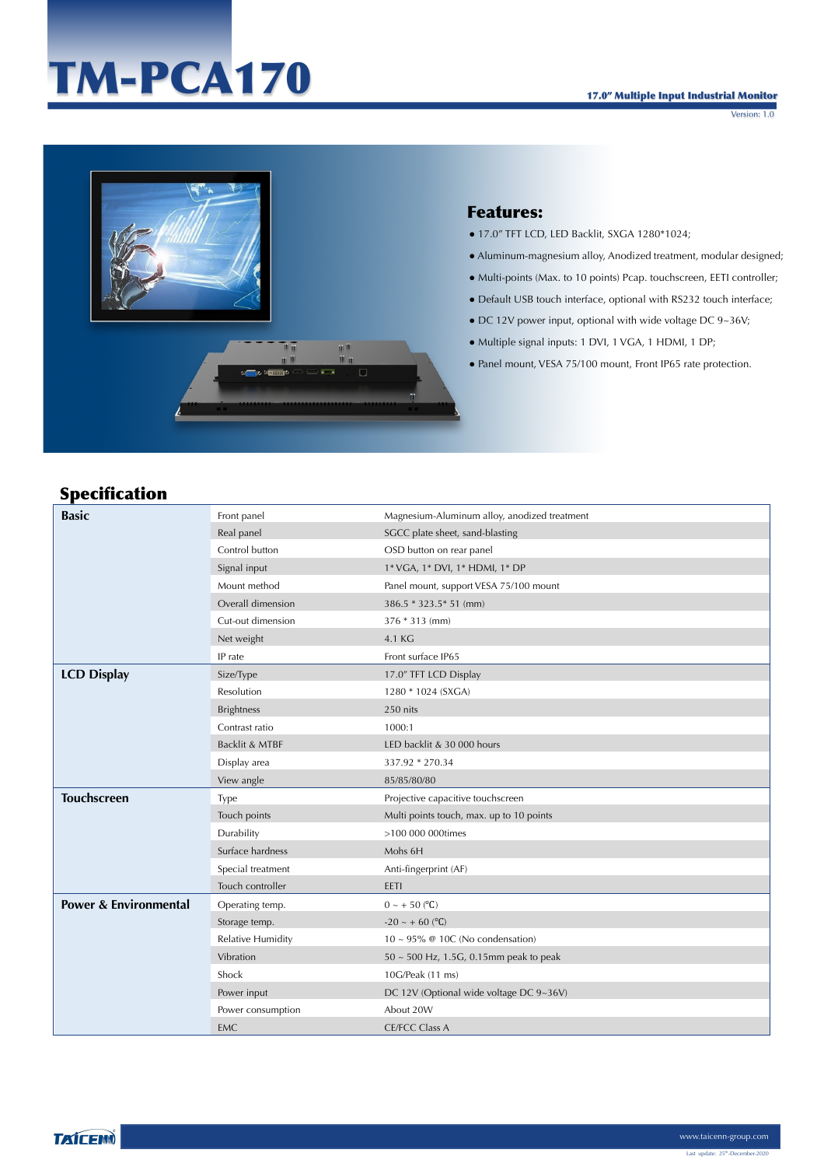# TM-PCA170

Version: 1.0



#### Features:

- 17.0" TFT LCD, LED Backlit, SXGA 1280\*1024;
- Aluminum-magnesium alloy, Anodized treatment, modular designed;
- Multi-points (Max. to 10 points) Pcap. touchscreen, EETI controller;
- Default USB touch interface, optional with RS232 touch interface;
- DC 12V power input, optional with wide voltage DC 9~36V;
- Multiple signal inputs: 1 DVI, 1 VGA, 1 HDMI, 1 DP;
- Panel mount, VESA 75/100 mount, Front IP65 rate protection.

### Specification

| <b>Basic</b>                     | Front panel              | Magnesium-Aluminum alloy, anodized treatment |
|----------------------------------|--------------------------|----------------------------------------------|
|                                  | Real panel               | SGCC plate sheet, sand-blasting              |
|                                  | Control button           | OSD button on rear panel                     |
|                                  | Signal input             | 1* VGA, 1* DVI, 1* HDMI, 1* DP               |
|                                  | Mount method             | Panel mount, support VESA 75/100 mount       |
|                                  | Overall dimension        | 386.5 * 323.5 * 51 (mm)                      |
|                                  | Cut-out dimension        | 376 * 313 (mm)                               |
|                                  | Net weight               | 4.1 KG                                       |
|                                  | IP rate                  | Front surface IP65                           |
| <b>LCD Display</b>               | Size/Type                | 17.0" TFT LCD Display                        |
|                                  | Resolution               | 1280 * 1024 (SXGA)                           |
|                                  | <b>Brightness</b>        | 250 nits                                     |
|                                  | Contrast ratio           | 1000:1                                       |
|                                  | Backlit & MTBF           | LED backlit & 30 000 hours                   |
|                                  | Display area             | 337.92 * 270.34                              |
|                                  | View angle               | 85/85/80/80                                  |
| <b>Touchscreen</b>               | Type                     | Projective capacitive touchscreen            |
|                                  | Touch points             | Multi points touch, max. up to 10 points     |
|                                  | Durability               | >100 000 000times                            |
|                                  | Surface hardness         | Mohs 6H                                      |
|                                  | Special treatment        | Anti-fingerprint (AF)                        |
|                                  | Touch controller         | EETI                                         |
| <b>Power &amp; Environmental</b> | Operating temp.          | $0 \sim +50$ (°C)                            |
|                                  | Storage temp.            | $-20 \sim +60$ (°C)                          |
|                                  | <b>Relative Humidity</b> | $10 \sim 95\%$ @ 10C (No condensation)       |
|                                  | Vibration                | $50 \sim 500$ Hz, 1.5G, 0.15mm peak to peak  |
|                                  | Shock                    | 10G/Peak (11 ms)                             |
|                                  | Power input              | DC 12V (Optional wide voltage DC 9~36V)      |
|                                  | Power consumption        | About 20W                                    |
|                                  | <b>EMC</b>               | <b>CE/FCC Class A</b>                        |